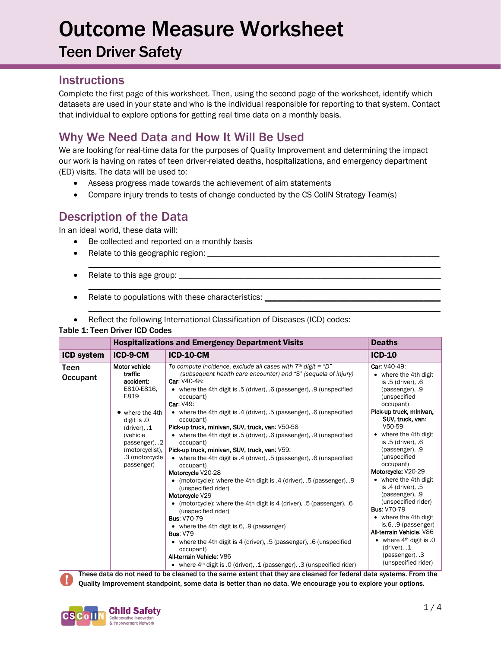Teen Driver Safety

### **Instructions**

Complete the first page of this worksheet. Then, using the second page of the worksheet, identify which datasets are used in your state and who is the individual responsible for reporting to that system. Contact that individual to explore options for getting real time data on a monthly basis.

## Why We Need Data and How It Will Be Used

We are looking for real-time data for the purposes of Quality Improvement and determining the impact our work is having on rates of teen driver-related deaths, hospitalizations, and emergency department (ED) visits. The data will be used to:

\_\_\_\_\_\_\_\_\_\_\_\_\_\_\_\_\_\_\_\_\_\_\_\_\_\_\_\_\_\_\_\_\_\_\_\_\_\_\_\_\_\_\_\_\_\_\_\_\_\_\_\_\_\_\_\_\_\_\_\_\_\_\_\_\_\_\_\_\_\_\_\_\_\_\_\_\_\_\_\_\_\_

 $\mathcal{L}_\mathcal{L} = \{ \mathcal{L}_\mathcal{L} = \{ \mathcal{L}_\mathcal{L} = \{ \mathcal{L}_\mathcal{L} = \{ \mathcal{L}_\mathcal{L} = \{ \mathcal{L}_\mathcal{L} = \{ \mathcal{L}_\mathcal{L} = \{ \mathcal{L}_\mathcal{L} = \{ \mathcal{L}_\mathcal{L} = \{ \mathcal{L}_\mathcal{L} = \{ \mathcal{L}_\mathcal{L} = \{ \mathcal{L}_\mathcal{L} = \{ \mathcal{L}_\mathcal{L} = \{ \mathcal{L}_\mathcal{L} = \{ \mathcal{L}_\mathcal{$ 

 $\mathcal{L}_\mathcal{L} = \{ \mathcal{L}_\mathcal{L} = \{ \mathcal{L}_\mathcal{L} = \{ \mathcal{L}_\mathcal{L} = \{ \mathcal{L}_\mathcal{L} = \{ \mathcal{L}_\mathcal{L} = \{ \mathcal{L}_\mathcal{L} = \{ \mathcal{L}_\mathcal{L} = \{ \mathcal{L}_\mathcal{L} = \{ \mathcal{L}_\mathcal{L} = \{ \mathcal{L}_\mathcal{L} = \{ \mathcal{L}_\mathcal{L} = \{ \mathcal{L}_\mathcal{L} = \{ \mathcal{L}_\mathcal{L} = \{ \mathcal{L}_\mathcal{$ 

- Assess progress made towards the achievement of aim statements
- Compare injury trends to tests of change conducted by the CS CollN Strategy Team(s)

### Description of the Data

In an ideal world, these data will:

- Be collected and reported on a monthly basis
- Relate to this geographic region: \_\_\_\_\_\_\_\_\_\_\_\_\_\_\_\_\_\_\_\_\_\_\_\_\_\_\_\_\_\_\_\_\_\_\_\_\_\_\_\_\_\_\_\_\_\_\_\_\_\_\_\_\_\_
- Relate to this age group:
- Relate to populations with these characteristics: \_\_\_\_\_\_\_\_\_\_\_\_\_\_\_\_\_\_\_\_\_\_\_\_\_\_\_\_
- Reflect the following International Classification of Diseases (ICD) codes:

#### Table 1: Teen Driver ICD Codes

|                   | <b>Hospitalizations and Emergency Department Visits</b>                                                                                                                                        | <b>Deaths</b>                                                                                                                                                                                                                                                                                                                                                                                                                                                                                                                                                                                                                                                                                                                                                                                                                                                                                                                                                                                                                                                                                                                                                                                                                                                              |                                                                                                                                                                                                                                                                                                                                                                                                                                                                                                                                                                                         |
|-------------------|------------------------------------------------------------------------------------------------------------------------------------------------------------------------------------------------|----------------------------------------------------------------------------------------------------------------------------------------------------------------------------------------------------------------------------------------------------------------------------------------------------------------------------------------------------------------------------------------------------------------------------------------------------------------------------------------------------------------------------------------------------------------------------------------------------------------------------------------------------------------------------------------------------------------------------------------------------------------------------------------------------------------------------------------------------------------------------------------------------------------------------------------------------------------------------------------------------------------------------------------------------------------------------------------------------------------------------------------------------------------------------------------------------------------------------------------------------------------------------|-----------------------------------------------------------------------------------------------------------------------------------------------------------------------------------------------------------------------------------------------------------------------------------------------------------------------------------------------------------------------------------------------------------------------------------------------------------------------------------------------------------------------------------------------------------------------------------------|
| <b>ICD system</b> | ICD-9-CM                                                                                                                                                                                       | <b>ICD-10-CM</b>                                                                                                                                                                                                                                                                                                                                                                                                                                                                                                                                                                                                                                                                                                                                                                                                                                                                                                                                                                                                                                                                                                                                                                                                                                                           | $ICD-10$                                                                                                                                                                                                                                                                                                                                                                                                                                                                                                                                                                                |
| Teen<br>Occupant  | Motor vehicle<br>traffic<br>accident:<br>E810-E816,<br>E819<br>where the 4th<br>digit is .0<br>$(driver)$ , .1<br>(vehicle<br>passenger), 2<br>(motorcyclist),<br>.3 (motorcycle<br>passenger) | To compute incidence, exclude all cases with $7th$ digit = "D"<br>(subsequent health care encounter) and "S" (sequela of injury)<br>Car: V40-48:<br>• where the 4th digit is .5 (driver), .6 (passenger), .9 (unspecified<br>occupant)<br>Car: V49:<br>• where the 4th digit is .4 (driver), .5 (passenger), .6 (unspecified<br>occupant)<br>Pick-up truck, minivan, SUV, truck, van: V50-58<br>• where the 4th digit is .5 (driver), .6 (passenger), .9 (unspecified<br>occupant)<br>Pick-up truck, minivan, SUV, truck, van: V59:<br>• where the 4th digit is .4 (driver), .5 (passenger), .6 (unspecified<br>occupant)<br>Motorcycle V20-28<br>• (motorcycle): where the 4th digit is .4 (driver), .5 (passenger), .9<br>(unspecified rider)<br>Motorcycle V29<br>• (motorcycle): where the 4th digit is 4 (driver), .5 (passenger), .6<br>(unspecified rider)<br><b>Bus: V70-79</b><br>• where the 4th digit is 6, 9 (passenger)<br><b>Bus: V79</b><br>• where the 4th digit is 4 (driver), .5 (passenger), .6 (unspecified<br>occupant)<br>All-terrain Vehicle: V86<br>• where $4th$ digit is .0 (driver), .1 (passenger), .3 (unspecified rider)<br>These data do not need to be cleaned to the same extent that they are cleaned for federal data systems. Erom the | Car: V40-49:<br>$\bullet\;$ where the 4th digit<br>is .5 (driver), .6<br>(passenger), .9<br>(unspecified<br>occupant)<br>Pick-up truck, minivan,<br>SUV, truck, van:<br>V50-59<br>where the 4th digit<br>is .5 (driver), .6<br>(passenger), .9<br>(unspecified<br>occupant)<br>Motorcycle: V20-29<br>• where the 4th digit<br>is .4 (driver), .5<br>(passenger), .9<br>(unspecified rider)<br><b>Bus: V70-79</b><br>• where the 4th digit<br>is.6, .9 (passenger)<br>All-terrain Vehicle: V86<br>• where $4th$ digit is .0<br>$(driver)$ , .1<br>(passenger), .3<br>(unspecified rider) |

These data do not need to be cleaned to the same extent that they are cleaned for federal data systems. From the Quality Improvement standpoint, some data is better than no data. We encourage you to explore your options.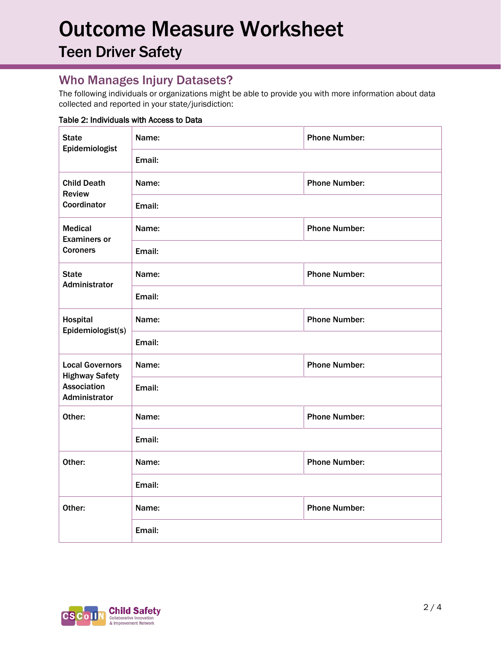Teen Driver Safety

## Who Manages Injury Datasets?

The following individuals or organizations might be able to provide you with more information about data collected and reported in your state/jurisdiction:

#### Table 2: Individuals with Access to Data

| <b>State</b><br>Epidemiologist                                                         | Name:  | <b>Phone Number:</b> |  |  |
|----------------------------------------------------------------------------------------|--------|----------------------|--|--|
|                                                                                        | Email: |                      |  |  |
| <b>Child Death</b><br><b>Review</b><br>Coordinator                                     | Name:  | <b>Phone Number:</b> |  |  |
|                                                                                        | Email: |                      |  |  |
| <b>Medical</b><br><b>Examiners or</b><br><b>Coroners</b>                               | Name:  | <b>Phone Number:</b> |  |  |
|                                                                                        | Email: |                      |  |  |
| <b>State</b><br><b>Administrator</b>                                                   | Name:  | <b>Phone Number:</b> |  |  |
|                                                                                        | Email: |                      |  |  |
| Hospital<br>Epidemiologist(s)                                                          | Name:  | <b>Phone Number:</b> |  |  |
|                                                                                        | Email: |                      |  |  |
| <b>Local Governors</b><br><b>Highway Safety</b><br><b>Association</b><br>Administrator | Name:  | <b>Phone Number:</b> |  |  |
|                                                                                        | Email: |                      |  |  |
| Other:                                                                                 | Name:  | <b>Phone Number:</b> |  |  |
|                                                                                        | Email: |                      |  |  |
| Other:                                                                                 | Name:  | <b>Phone Number:</b> |  |  |
|                                                                                        | Email: |                      |  |  |
| Other:                                                                                 | Name:  | <b>Phone Number:</b> |  |  |
|                                                                                        | Email: |                      |  |  |

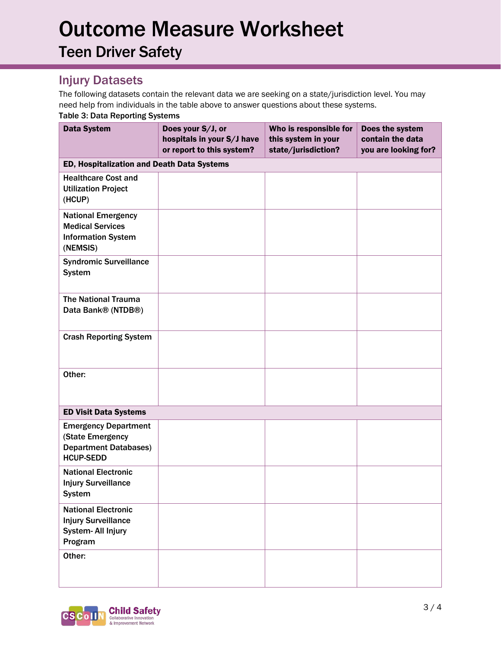Teen Driver Safety

## Injury Datasets

The following datasets contain the relevant data we are seeking on a state/jurisdiction level. You may need help from individuals in the table above to answer questions about these systems. Table 3: Data Reporting Systems

| <b>Data System</b>                                                                                  | Does your S/J, or<br>hospitals in your S/J have<br>or report to this system? | Who is responsible for<br>this system in your<br>state/jurisdiction? | Does the system<br>contain the data<br>you are looking for? |
|-----------------------------------------------------------------------------------------------------|------------------------------------------------------------------------------|----------------------------------------------------------------------|-------------------------------------------------------------|
| ED, Hospitalization and Death Data Systems                                                          |                                                                              |                                                                      |                                                             |
| <b>Healthcare Cost and</b><br><b>Utilization Project</b><br>(HCUP)                                  |                                                                              |                                                                      |                                                             |
| <b>National Emergency</b><br><b>Medical Services</b><br><b>Information System</b><br>(NEMSIS)       |                                                                              |                                                                      |                                                             |
| <b>Syndromic Surveillance</b><br><b>System</b>                                                      |                                                                              |                                                                      |                                                             |
| <b>The National Trauma</b><br>Data Bank® (NTDB®)                                                    |                                                                              |                                                                      |                                                             |
| <b>Crash Reporting System</b>                                                                       |                                                                              |                                                                      |                                                             |
| Other:                                                                                              |                                                                              |                                                                      |                                                             |
| <b>ED Visit Data Systems</b>                                                                        |                                                                              |                                                                      |                                                             |
| <b>Emergency Department</b><br>(State Emergency<br><b>Department Databases)</b><br><b>HCUP-SEDD</b> |                                                                              |                                                                      |                                                             |
| <b>National Electronic</b><br><b>Injury Surveillance</b><br><b>System</b>                           |                                                                              |                                                                      |                                                             |
| <b>National Electronic</b><br><b>Injury Surveillance</b><br>System- All Injury<br>Program           |                                                                              |                                                                      |                                                             |
| Other:                                                                                              |                                                                              |                                                                      |                                                             |